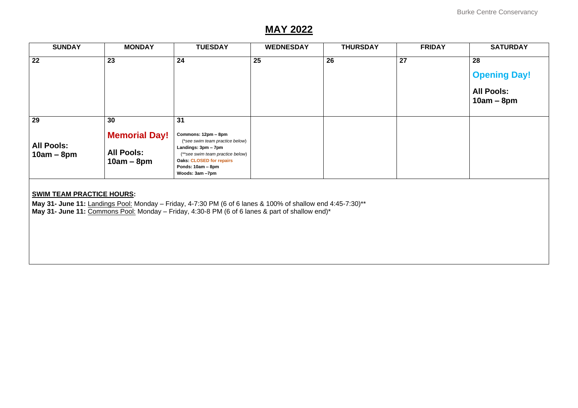# **MAY 2022**

| <b>SUNDAY</b>                                                                                                                                                                                                                                      | <b>MONDAY</b>                                                   | <b>TUESDAY</b>                                                                                                                                                                                     | <b>WEDNESDAY</b> | <b>THURSDAY</b> | <b>FRIDAY</b> | <b>SATURDAY</b>                                                |  |
|----------------------------------------------------------------------------------------------------------------------------------------------------------------------------------------------------------------------------------------------------|-----------------------------------------------------------------|----------------------------------------------------------------------------------------------------------------------------------------------------------------------------------------------------|------------------|-----------------|---------------|----------------------------------------------------------------|--|
| 22                                                                                                                                                                                                                                                 | 23                                                              | 24                                                                                                                                                                                                 | 25               | 26              | 27            | 28<br><b>Opening Day!</b><br><b>All Pools:</b><br>$10am - 8pm$ |  |
| 29<br><b>All Pools:</b><br>$10am - 8pm$                                                                                                                                                                                                            | 30<br><b>Memorial Day!</b><br><b>All Pools:</b><br>$10am - 8pm$ | 31<br>Commons: 12pm - 8pm<br>(*see swim team practice below)<br>Landings: 3pm - 7pm<br>(**see swim team practice below)<br><b>Oaks: CLOSED for repairs</b><br>Ponds: 10am - 8pm<br>Woods: 3am -7pm |                  |                 |               |                                                                |  |
| <b>SWIM TEAM PRACTICE HOURS:</b><br>May 31- June 11: Landings Pool: Monday - Friday, 4-7:30 PM (6 of 6 lanes & 100% of shallow end 4:45-7:30)**<br>May 31- June 11: Commons Pool: Monday - Friday, 4:30-8 PM (6 of 6 lanes & part of shallow end)* |                                                                 |                                                                                                                                                                                                    |                  |                 |               |                                                                |  |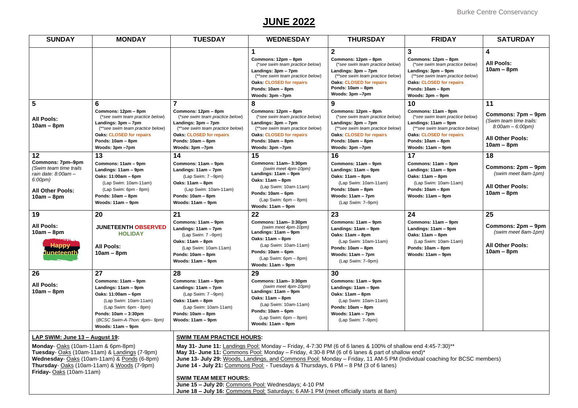## **JUNE 2022**

| <b>SUNDAY</b>                                                                                                                                                                                                                                                                                                                                                                                                                                                                                                                                                                                                                                 | <b>MONDAY</b>                                                                                                                                                                                    | <b>TUESDAY</b>                                                                                                                                                                               | <b>WEDNESDAY</b>                                                                                                                                                                             | <b>THURSDAY</b>                                                                                                                                                                                                | <b>FRIDAY</b>                                                                                                                                                                                      | <b>SATURDAY</b>                                                                                                |
|-----------------------------------------------------------------------------------------------------------------------------------------------------------------------------------------------------------------------------------------------------------------------------------------------------------------------------------------------------------------------------------------------------------------------------------------------------------------------------------------------------------------------------------------------------------------------------------------------------------------------------------------------|--------------------------------------------------------------------------------------------------------------------------------------------------------------------------------------------------|----------------------------------------------------------------------------------------------------------------------------------------------------------------------------------------------|----------------------------------------------------------------------------------------------------------------------------------------------------------------------------------------------|----------------------------------------------------------------------------------------------------------------------------------------------------------------------------------------------------------------|----------------------------------------------------------------------------------------------------------------------------------------------------------------------------------------------------|----------------------------------------------------------------------------------------------------------------|
|                                                                                                                                                                                                                                                                                                                                                                                                                                                                                                                                                                                                                                               |                                                                                                                                                                                                  |                                                                                                                                                                                              | Commons: 12pm - 8pm<br>(*see swim team practice below)<br>Landings: 3pm - 7pm<br>(**see swim team practice below)<br><b>Oaks: CLOSED for repairs</b><br>Ponds: 10am - 8pm<br>Woods: 3pm -7pm | $\overline{2}$<br>Commons: 12pm - 8pm<br>(*see swim team practice below)<br>Landings: 3pm - 7pm<br>(**see swim team practice below)<br><b>Oaks. CLOSED for repairs</b><br>Ponds: 10am - 8pm<br>Woods: 3pm -7pm | 3<br>Commons: 12pm - 8pm<br>(*see swim team practice below)<br>Landings: 3pm - 9pm<br>(**see swim team practice below)<br><b>Oaks: CLOSED for repairs</b><br>Ponds: 10am - 8pm<br>Woods: 3pm - 9pm | $\overline{\mathbf{4}}$<br><b>All Pools:</b><br>$10am - 8pm$                                                   |
| 5                                                                                                                                                                                                                                                                                                                                                                                                                                                                                                                                                                                                                                             | $6\phantom{1}6$                                                                                                                                                                                  | 7                                                                                                                                                                                            | 8                                                                                                                                                                                            | 9                                                                                                                                                                                                              | 10                                                                                                                                                                                                 | 11                                                                                                             |
| <b>All Pools:</b><br>$10am - 8pm$                                                                                                                                                                                                                                                                                                                                                                                                                                                                                                                                                                                                             | Commons: 12pm - 8pm<br>(*see swim team practice below)<br>Landings: $3pm - 7pm$<br>(**see swim team practice below)<br><b>Oaks: CLOSED for repairs</b><br>Ponds: 10am - 8pm<br>Woods: 3pm -7pm   | Commons: 12pm - 8pm<br>(*see swim team practice below)<br>Landings: 3pm - 7pm<br>(**see swim team practice below)<br><b>Oaks: CLOSED for repairs</b><br>Ponds: 10am - 8pm<br>Woods: 3pm -7pm | Commons: 12pm - 8pm<br>(*see swim team practice below)<br>Landings: 3pm - 7pm<br>(**see swim team practice below)<br><b>Oaks: CLOSED for repairs</b><br>Ponds: 10am - 8pm<br>Woods: 3pm -7pm | Commons: 12pm - 8pm<br>(*see swim team practice below)<br>Landings: 3pm - 7pm<br>(**see swim team practice below)<br><b>Oaks: CLOSED for repairs</b><br>Ponds: 10am - 8pm<br>Woods: 3pm -7pm                   | Commons: 11am - 9pm<br>(*see swim team practice below)<br>Landings: 11am - 9pm<br>(**see swim team practice below)<br><b>Oaks: CLOSED for repairs</b><br>Ponds: 10am - 8pm<br>Woods: 11am – 9pm    | Commons: 7pm - 9pm<br>(Swim team time trails:<br>$8:00am - 6:00pm)$<br><b>All Other Pools:</b><br>$10am - 8pm$ |
| 12                                                                                                                                                                                                                                                                                                                                                                                                                                                                                                                                                                                                                                            | 13                                                                                                                                                                                               | 14                                                                                                                                                                                           | 15                                                                                                                                                                                           | 16                                                                                                                                                                                                             | 17                                                                                                                                                                                                 | 18                                                                                                             |
| Commons: 7pm-9pm<br>(Swim team time trails<br>rain date: 8:00am -<br>6:00pm)<br><b>All Other Pools:</b><br>$10am - 8pm$                                                                                                                                                                                                                                                                                                                                                                                                                                                                                                                       | Commons: 11am - 9pm<br>Landings: 11am - 9pm<br>Oaks: 11:00am - 6pm<br>(Lap Swim: 10am-11am)<br>(Lap Swim: 6pm - 8pm)<br>Ponds: 10am - 8pm<br>Woods: 11am - 9pm                                   | Commons: 11am - 9pm<br>Landings: 11am - 7pm<br>$(Lap$ Swim: $7-9pm$ )<br>Oaks: 11am - 8pm<br>(Lap Swim: 10am-11am)<br>Ponds: 10am - 8pm<br>Woods: 11am - 9pm                                 | Commons: 11am-3:30pm<br>(swim meet 4pm-10pm)<br>Landings: 11am - 9pm<br>Oaks: 11am - 8pm<br>(Lap Swim: 10am-11am)<br>Ponds: 10am - 6pm<br>$(Lap$ Swim: $6pm - 8pm$ )<br>Woods: 11am - 9pm    | Commons: 11am - 9pm<br>Landings: 11am - 9pm<br>Oaks: 11am - 8pm<br>(Lap Swim: 10am-11am)<br>Ponds: 10am - 8pm<br>Woods: 11am - 7pm<br>(Lap Swim: 7-9pm)                                                        | Commons: 11am - 9pm<br>Landings: 11am - 9pm<br>Oaks: 11am - 8pm<br>(Lap Swim: 10am-11am)<br>Ponds: 10am - 8pm<br>Woods: 11am – 9pm                                                                 | Commons: 2pm – 9pm<br>(swim meet 8am-1pm)<br><b>All Other Pools:</b><br>$10am - 8pm$                           |
| 19                                                                                                                                                                                                                                                                                                                                                                                                                                                                                                                                                                                                                                            | 20                                                                                                                                                                                               | 21                                                                                                                                                                                           | 22                                                                                                                                                                                           | 23                                                                                                                                                                                                             | 24                                                                                                                                                                                                 | 25                                                                                                             |
| <b>All Pools:</b><br>$10am - 8pm$<br><b>Happy</b><br>Juneteenth                                                                                                                                                                                                                                                                                                                                                                                                                                                                                                                                                                               | <b>JUNETEENTH OBSERVED</b><br><b>HOLIDAY</b><br><b>All Pools:</b><br>$10am - 8pm$                                                                                                                | Commons: 11am - 9pm<br>Landings: 11am - 7pm<br>(Lap Swim: 7-9pm)<br>Oaks: 11am - 8pm<br>(Lap Swim: 10am-11am)<br>Ponds: 10am - 8pm<br>Woods: 11am - 9pm                                      | Commons: 11am-3:30pm<br>(swim meet 4pm-10pm)<br>Landings: 11am - 9pm<br>Oaks: 11am - 8pm<br>(Lap Swim: 10am-11am)<br>Ponds: 10am - 6pm<br>(Lap Swim: 6pm - 8pm)<br>Woods: 11am - 9pm         | Commons: 11am - 9pm<br>Landings: 11am - 9pm<br>Oaks: 11am - 8pm<br>(Lap Swim: 10am-11am)<br>Ponds: 10am - 8pm<br>Woods: 11am - 7pm<br>(Lap Swim: 7-9pm)                                                        | Commons: 11am - 9pm<br>Landings: 11am - 9pm<br>Oaks: 11am – 8pm<br>(Lap Swim: 10am-11am)<br>Ponds: 10am - 8pm<br>Woods: $11am - 9dm$                                                               | Commons: 2pm – 9pm<br>(swim meet 8am-1pm)<br><b>All Other Pools:</b><br>$10am - 8pm$                           |
| 26                                                                                                                                                                                                                                                                                                                                                                                                                                                                                                                                                                                                                                            | 27                                                                                                                                                                                               | 28                                                                                                                                                                                           | 29                                                                                                                                                                                           | 30                                                                                                                                                                                                             |                                                                                                                                                                                                    |                                                                                                                |
| <b>All Pools:</b><br>$10am - 8pm$                                                                                                                                                                                                                                                                                                                                                                                                                                                                                                                                                                                                             | Commons: 11am - 9pm<br>Landings: 11am - 9pm<br>Oaks: 11:00am - 6pm<br>(Lap Swim: 10am-11am)<br>(Lap Swim: 6pm - 8pm)<br>Ponds: 10am - 3:30pm<br>(BCSC Swim-A-Thon: 4pm-9pm)<br>Woods: 11am - 9pm | Commons: 11am - 9pm<br>Landings: 11am - 7pm<br>(Lap Swim: 7 -9pm)<br>Oaks: 11am - 8pm<br>(Lap Swim: 10am-11am)<br>Ponds: 10am - 8pm<br>Woods: 11am - 9pm                                     | Commons: 11am-3:30pm<br>(swim meet 4pm-10pm)<br>Landings: 11am - 9pm<br>Oaks: 11am - 8pm<br>(Lap Swim: 10am-11am)<br>Ponds: 10am - 6pm<br>(Lap Swim: 6pm - 8pm)<br>Woods: 11am - 9pm         | Commons: 11am - 9pm<br>Landings: 11am - 9pm<br>Oaks: 11am - 8pm<br>(Lap Swim: 10am-11am)<br>Ponds: 10am - 8pm<br>Woods: 11am - 7pm<br>(Lap Swim: 7-9pm)                                                        |                                                                                                                                                                                                    |                                                                                                                |
| LAP SWIM: June 13 - August 19:                                                                                                                                                                                                                                                                                                                                                                                                                                                                                                                                                                                                                |                                                                                                                                                                                                  | <b>SWIM TEAM PRACTICE HOURS:</b>                                                                                                                                                             |                                                                                                                                                                                              |                                                                                                                                                                                                                |                                                                                                                                                                                                    |                                                                                                                |
| May 31- June 11: Landings Pool: Monday - Friday, 4-7:30 PM (6 of 6 lanes & 100% of shallow end 4:45-7:30)**<br>Monday-Oaks (10am-11am & 6pm-8pm)<br>Tuesday- Oaks (10am-11am) & Landings (7-9pm)<br>May 31- June 11: Commons Pool: Monday – Friday, 4:30-8 PM (6 of 6 lanes & part of shallow end)*<br>Wednesday- Oaks (10am-11am) & Ponds (6-8pm)<br>June 13- July 29: Woods, Landings, and Commons Pool: Monday - Friday, 11 AM-5 PM (Individual coaching for BCSC members)<br>Thursday- Oaks (10am-11am) & Woods (7-9pm)<br>June 14 - July 21: Commons Pool: - Tuesdays & Thursdays, 6 PM - 8 PM (3 of 6 lanes)<br>Friday-Oaks (10am-11am) |                                                                                                                                                                                                  |                                                                                                                                                                                              |                                                                                                                                                                                              |                                                                                                                                                                                                                |                                                                                                                                                                                                    |                                                                                                                |
|                                                                                                                                                                                                                                                                                                                                                                                                                                                                                                                                                                                                                                               |                                                                                                                                                                                                  | <b>SWIM TEAM MEET HOURS:</b>                                                                                                                                                                 | June 15 - July 20: Commons Pool: Wednesdays; 4-10 PM<br>June 18 - July 16: Commons Pool: Saturdays; 6 AM-1 PM (meet officially starts at 8am)                                                |                                                                                                                                                                                                                |                                                                                                                                                                                                    |                                                                                                                |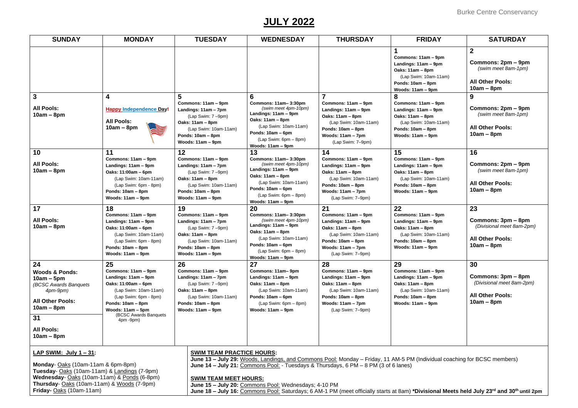### **JULY 2022**

| <b>SUNDAY</b>                                                                                                                                                              | <b>MONDAY</b>                                                                                                                                                                                                | <b>TUESDAY</b>                                                                                                                                                | <b>WEDNESDAY</b>                                                                                                                                                                                | <b>THURSDAY</b>                                                                                                                                               | <b>FRIDAY</b>                                                                                                                            | <b>SATURDAY</b>                                                                                      |
|----------------------------------------------------------------------------------------------------------------------------------------------------------------------------|--------------------------------------------------------------------------------------------------------------------------------------------------------------------------------------------------------------|---------------------------------------------------------------------------------------------------------------------------------------------------------------|-------------------------------------------------------------------------------------------------------------------------------------------------------------------------------------------------|---------------------------------------------------------------------------------------------------------------------------------------------------------------|------------------------------------------------------------------------------------------------------------------------------------------|------------------------------------------------------------------------------------------------------|
|                                                                                                                                                                            |                                                                                                                                                                                                              |                                                                                                                                                               |                                                                                                                                                                                                 |                                                                                                                                                               | Commons: 11am - 9pm<br>Landings: 11am - 9pm<br>Oaks: 11am - 8pm<br>(Lap Swim: 10am-11am)<br>Ponds: 10am - 8pm<br>Woods: 11am - 9pm       | $\mathbf{2}$<br>Commons: 2pm – 9pm<br>(swim meet 8am-1pm)<br><b>All Other Pools:</b><br>$10am - 8pm$ |
| $\mathbf{3}$<br><b>All Pools:</b><br>$10am - 8pm$                                                                                                                          | 4<br><b>Happy Independence Day!</b><br><b>All Pools:</b><br>$10am - 8pm$                                                                                                                                     | 5<br>Commons: 11am - 9pm<br>Landings: 11am - 7pm<br>(Lap Swim: 7-9pm)<br>Oaks: 11am - 8pm<br>(Lap Swim: 10am-11am)<br>Ponds: 10am - 8pm<br>Woods: 11am - 9pm  | 6<br>Commons: 11am-3:30pm<br>(swim meet 4pm-10pm)<br>Landings: 11am - 9pm<br>Oaks: 11am - 8pm<br>(Lap Swim: 10am-11am)<br>Ponds: 10am - 6pm<br>$(Lap$ Swim: 6pm $-$ 8pm)<br>Woods: 11am - 9pm   | Commons: 11am - 9pm<br>Landings: 11am - 9pm<br>Oaks: 11am - 8pm<br>(Lap Swim: 10am-11am)<br>Ponds: 10am - 8pm<br>Woods: 11am - 7pm<br>(Lap Swim: 7-9pm)       | 8<br>Commons: 11am - 9pm<br>Landings: 11am - 9pm<br>Oaks: 11am - 8pm<br>(Lap Swim: 10am-11am)<br>Ponds: 10am - 8pm<br>Woods: 11am - 9pm  | 9<br>Commons: 2pm – 9pm<br>(swim meet 8am-1pm)<br><b>All Other Pools:</b><br>$10am - 8pm$            |
| 10<br><b>All Pools:</b><br>$10am - 8pm$                                                                                                                                    | 11<br>Commons: 11am - 9pm<br>Landings: 11am - 9pm<br>Oaks: 11:00am - 6pm<br>(Lap Swim: 10am-11am)<br>(Lap Swim: 6pm - 8pm)<br>Ponds: 10am - 8pm<br>Woods: 11am - 9pm                                         | 12<br>Commons: 11am - 9pm<br>Landings: 11am - 7pm<br>(Lap Swim: 7-9pm)<br>Oaks: 11am - 8pm<br>(Lap Swim: 10am-11am)<br>Ponds: 10am - 8pm<br>Woods: 11am – 9pm | 13<br>Commons: 11am-3:30pm<br>(swim meet 4pm-10pm)<br>Landings: 11am - 9pm<br>Oaks: 11am - 8pm<br>(Lap Swim: 10am-11am)<br>Ponds: 10am - 6pm<br>$(Lap$ Swim: $6pm - 8pm$ )<br>Woods: 11am - 9pm | 14<br>Commons: 11am - 9pm<br>Landings: 11am - 9pm<br>Oaks: 11am - 8pm<br>(Lap Swim: 10am-11am)<br>Ponds: 10am - 8pm<br>Woods: 11am - 7pm<br>(Lap Swim: 7-9pm) | 15<br>Commons: 11am - 9pm<br>Landings: 11am - 9pm<br>Oaks: 11am - 8pm<br>(Lap Swim: 10am-11am)<br>Ponds: 10am - 8pm<br>Woods: 11am - 9pm | 16<br>Commons: 2pm – 9pm<br>(swim meet 8am-1pm)<br><b>All Other Pools:</b><br>$10am - 8pm$           |
| 17<br><b>All Pools:</b><br>$10am - 8pm$                                                                                                                                    | 18<br>Commons: 11am - 9pm<br>Landings: 11am - 9pm<br>Oaks: 11:00am - 6pm<br>(Lap Swim: 10am-11am)<br>(Lap Swim: 6pm - 8pm)<br>Ponds: 10am - 8pm<br>Woods: 11am - 9pm                                         | 19<br>Commons: 11am - 9pm<br>Landings: 11am - 7pm<br>(Lap Swim: 7-9pm)<br>Oaks: 11am - 8pm<br>(Lap Swim: 10am-11am)<br>Ponds: 10am - 8pm<br>Woods: 11am - 9pm | 20<br>Commons: 11am-3:30pm<br>(swim meet 4pm-10pm)<br>Landings: 11am - 9pm<br>Oaks: 11am - 8pm<br>(Lap Swim: 10am-11am)<br>Ponds: 10am - 6pm<br>$(Lap$ Swim: $6pm - 8pm$ )<br>Woods: 11am - 9pm | 21<br>Commons: 11am - 9pm<br>Landings: 11am - 9pm<br>Oaks: 11am - 8pm<br>(Lap Swim: 10am-11am)<br>Ponds: 10am - 8pm<br>Woods: 11am - 7pm<br>(Lap Swim: 7-9pm) | 22<br>Commons: 11am - 9pm<br>Landings: 11am - 9pm<br>Oaks: 11am - 8pm<br>(Lap Swim: 10am-11am)<br>Ponds: 10am - 8pm<br>Woods: 11am - 9pm | 23<br>Commons: 3pm – 8pm<br>(Divisional meet 8am-2pm)<br><b>All Other Pools:</b><br>$10am - 8pm$     |
| 24<br><b>Woods &amp; Ponds:</b><br>$10am - 5pm$<br>(BCSC Awards Banquets<br>4pm-9pm)<br><b>All Other Pools:</b><br>$10am - 8pm$<br>31<br><b>All Pools:</b><br>$10am - 8pm$ | 25<br>Commons: 11am - 9pm<br>Landings: 11am - 9pm<br>Oaks: 11:00am - 6pm<br>(Lap Swim: 10am-11am)<br>(Lap Swim: 6pm - 8pm)<br>Ponds: 10am - 8pm<br>Woods: 11am - 5pm<br>(BCSC Awards Banquets<br>$4pm - 9pm$ | 26<br>Commons: 11am - 9pm<br>Landings: 11am - 7pm<br>(Lap Swim: 7-9pm)<br>Oaks: 11am – 8pm<br>(Lap Swim: 10am-11am)<br>Ponds: 10am - 8pm<br>Woods: 11am - 9pm | 27<br>Commons: 11am-9pm<br>Landings: 11am - 9pm<br>Oaks: 11am - 8pm<br>(Lap Swim: 10am-11am)<br>Ponds: 10am - 6pm<br>(Lap Swim: 6pm - 8pm)<br>Woods: 11am - 9pm                                 | 28<br>Commons: 11am - 9pm<br>Landings: 11am - 9pm<br>Oaks: 11am - 8pm<br>(Lap Swim: 10am-11am)<br>Ponds: 10am - 8pm<br>Woods: 11am - 7pm<br>(Lap Swim: 7-9pm) | 29<br>Commons: 11am - 9pm<br>Landings: 11am - 9pm<br>Oaks: 11am - 8pm<br>(Lap Swim: 10am-11am)<br>Ponds: 10am - 8pm<br>Woods: 11am - 9pm | 30<br>Commons: 3pm – 8pm<br>(Divisional meet 8am-2pm)<br><b>All Other Pools:</b><br>$10am - 8pm$     |

**LAP SWIM: July 1 – 31:** 

**Friday-** Oaks (10am-11am)

**Monday**- Oaks (10am-11am & 6pm-8pm)

**Tuesday**- Oaks (10am-11am) & Landings (7-9pm) **Wednesday**- Oaks (10am-11am) & Ponds (6-8pm) **Thursday**- Oaks (10am-11am) & Woods (7-9pm)

**SWIM TEAM PRACTICE HOURS:** 

**June 13 – July 29:** Woods, Landings, and Commons Pool: Monday – Friday, 11 AM-5 PM (Individual coaching for BCSC members) **June 14 – July 21:** Commons Pool: - Tuesdays & Thursdays, 6 PM – 8 PM (3 of 6 lanes)

#### **SWIM TEAM MEET HOURS:**

**June 15 – July 20:** Commons Pool: Wednesdays; 4-10 PM

**June 18 – July 16:** Commons Pool: Saturdays; 6 AM-1 PM (meet officially starts at 8am) **\*Divisional Meets held July 23rd and 30th until 2pm**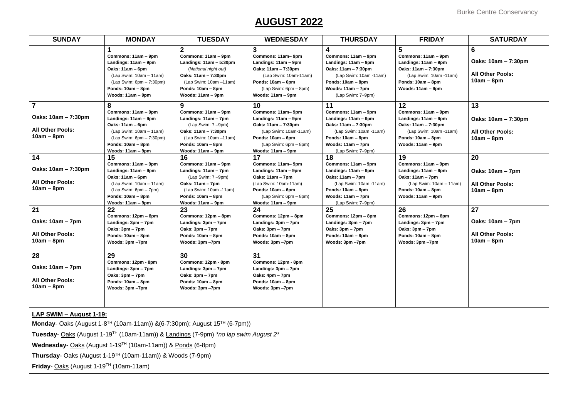### **AUGUST 2022**

| <b>MONDAY</b>                                                                                                                                                             | <b>TUESDAY</b>                                                                                                                                                                           | <b>WEDNESDAY</b>                                                                                                                                                                 | <b>THURSDAY</b>                                                                                                                                                  | <b>FRIDAY</b>                                                                                                                               | <b>SATURDAY</b>                                                     |
|---------------------------------------------------------------------------------------------------------------------------------------------------------------------------|------------------------------------------------------------------------------------------------------------------------------------------------------------------------------------------|----------------------------------------------------------------------------------------------------------------------------------------------------------------------------------|------------------------------------------------------------------------------------------------------------------------------------------------------------------|---------------------------------------------------------------------------------------------------------------------------------------------|---------------------------------------------------------------------|
| Commons: 11am - 9pm<br>Landings: 11am - 9pm<br>Oaks: 11am - 6pm<br>$(Lap$ Swim: $10am - 11am)$<br>$(Lap$ Swim: 6pm $- 7:30$ pm)<br>Ponds: 10am - 8pm<br>Woods: 11am - 9pm | $\overline{2}$<br>Commons: 11am - 9pm<br>Landings: 11am - 5:30pm<br>(National night out)<br>Oaks: 11am - 7:30pm<br>$(Lap$ Swim: 10am $-11am$ )<br>Ponds: 10am - 8pm<br>Woods: 11am - 9pm | $\mathbf{3}$<br>Commons: 11am-9pm<br>Landings: 11am - 9pm<br>Oaks: 11am - 7:30pm<br>(Lap Swim: 10am-11am)<br>Ponds: 10am - 6pm<br>$(Lap$ Swim: 6pm $-$ 8pm)<br>Woods: 11am – 9pm | 4<br>Commons: 11am - 9pm<br>Landings: 11am - 9pm<br>Oaks: 11am - 7:30pm<br>(Lap Swim: 10am -11am)<br>Ponds: 10am - 8pm<br>Woods: 11am - 7pm<br>(Lap Swim: 7-9pm) | 5<br>Commons: 11am - 9pm<br>Landings: 11am - 9pm<br>Oaks: 11am - 7:30pm<br>(Lap Swim: 10am -11am)<br>Ponds: 10am - 8pm<br>Woods: 11am - 9pm | 6<br>Oaks: 10am - 7:30pm<br><b>All Other Pools:</b><br>$10am - 8pm$ |
| 8                                                                                                                                                                         | 9                                                                                                                                                                                        | 10                                                                                                                                                                               | 11                                                                                                                                                               | 12                                                                                                                                          | 13                                                                  |
| Commons: 11am - 9pm<br>Landings: 11am - 9pm<br>Oaks: 11am - 6pm<br>$(Lap$ Swim: $10am - 11am)$<br>$(Lap$ Swim: 6pm $-7:30$ pm)<br>Ponds: 10am - 8pm                       | Commons: 11am - 9pm<br>Landings: $11am - 7pm$<br>$(Lap$ Swim: $7-9pm$ )<br>Oaks: 11am - 7:30pm<br>$(Lap$ Swim: 10am $-11am$ )<br>Ponds: 10am - 8pm                                       | Commons: 11am-9pm<br>Landings: 11am – 9pm<br>Oaks: 11am - 7:30pm<br>(Lap Swim: 10am-11am)<br>Ponds: 10am - 6pm<br>$(Lap$ Swim: $6pm - 8pm$ )                                     | Commons: 11am - 9pm<br>Landings: 11am - 9pm<br>Oaks: 11am - 7:30pm<br>(Lap Swim: 10am -11am)<br>Ponds: 10am - 8pm<br>Woods: 11am - 7pm                           | Commons: 11am - 9pm<br>Landings: 11am - 9pm<br>Oaks: 11am - 7:30pm<br>(Lap Swim: 10am -11am)<br>Ponds: 10am - 8pm<br>Woods: 11am - 9pm      | Oaks: 10am - 7:30pm<br><b>All Other Pools:</b><br>$10am - 8pm$      |
|                                                                                                                                                                           |                                                                                                                                                                                          |                                                                                                                                                                                  |                                                                                                                                                                  |                                                                                                                                             | 20                                                                  |
| Commons: 11am - 9pm<br>Landings: 11am - 9pm<br>Oaks: 11am - 6pm<br>$(Lap$ Swim: $10am - 11am)$<br>$(Lap$ Swim: $6pm - 7pm$ )<br>Ponds: 10am - 8pm                         | Commons: 11am - 9pm<br>Landings: 11am - 7pm<br>$(Lap$ Swim: $7-9pm$ )<br>Oaks: 11am - 7pm<br>(Lap Swim: 10am -11am)<br>Ponds: 10am - 8pm                                                 | Commons: 11am-9pm<br>Landings: 11am - 9pm<br>Oaks: 11am - 7pm<br>(Lap Swim: 10am-11am)<br>Ponds: 10am - 6pm<br>$(Lap$ Swim: 6pm $-$ 8pm)                                         | Commons: 11am - 9pm<br>Landings: 11am - 9pm<br>Oaks: 11am - 7pm<br>(Lap Swim: 10am -11am)<br>Ponds: 10am - 8pm<br>Woods: 11am - 7pm                              | Commons: 11am - 9pm<br>Landings: 11am - 9pm<br>Oaks: 11am - 7pm<br>(Lap Swim: 10am - 11am)<br>Ponds: 10am - 8pm<br>Woods: 11am - 9pm        | Oaks: 10am - 7pm<br><b>All Other Pools:</b><br>$10am - 8pm$         |
| Woods: 11am - 9pm                                                                                                                                                         | Woods: 11am - 9pm                                                                                                                                                                        | Woods: 11am - 9pm                                                                                                                                                                | (Lap Swim: 7-9pm)                                                                                                                                                |                                                                                                                                             |                                                                     |
| Commons: 12pm - 8pm<br>Landings: 3pm - 7pm<br>Oaks: 3pm – 7pm<br>Ponds: 10am - 8pm<br>Woods: 3pm -7pm                                                                     | Commons: 12pm - 8pm<br>Landings: 3pm - 7pm<br>Oaks: 3pm – 7pm<br>Ponds: 10am - 8pm<br>Woods: 3pm -7pm                                                                                    | Commons: 12pm - 8pm<br>Landings: 3pm - 7pm<br>Oaks: 3pm – 7pm<br>Ponds: 10am - 8pm<br>Woods: 3pm -7pm                                                                            | Commons: 12pm - 8pm<br>Landings: 3pm - 7pm<br>Oaks: 3pm - 7pm<br>Ponds: 10am - 8pm<br>Woods: 3pm -7pm                                                            | Commons: 12pm - 8pm<br>Landings: 3pm - 7pm<br>Oaks: 3pm - 7pm<br>Ponds: 10am - 8pm<br>Woods: 3pm -7pm                                       | 27<br>Oaks: 10am - 7pm<br><b>All Other Pools:</b><br>$10am - 8pm$   |
| 29<br>Commons: 12pm - 8pm<br>Landings: 3pm - 7pm<br>Oaks: 3pm – 7pm<br>Ponds: 10am - 8pm<br>Woods: 3pm -7pm                                                               | 30<br>Commons: 12pm - 8pm<br>Landings: 3pm - 7pm<br>Oaks: 3pm – 7pm<br>Ponds: 10am - 8pm<br>Woods: 3pm -7pm                                                                              | 31<br>Commons: 12pm - 8pm<br>Landings: 3pm - 7pm<br>Oaks: 4pm – 7pm<br>Ponds: 10am - 8pm<br>Woods: 3pm -7pm                                                                      |                                                                                                                                                                  |                                                                                                                                             |                                                                     |
|                                                                                                                                                                           | Woods: 11am - 9pm<br>15<br>22                                                                                                                                                            | Woods: 11am - 9pm<br>16<br>23                                                                                                                                                    | Woods: 11am – 9pm<br>17<br>24                                                                                                                                    | (Lap Swim: 7-9pm)<br>18<br>25                                                                                                               | 19<br>26                                                            |

### **LAP SWIM – August 1-19:**

**Monday**- **Oaks** (August 1-8<sup>TH</sup> (10am-11am)) & (6-7:30pm); August 15<sup>TH</sup> (6-7pm))

**Tuesday**- Oaks (August 1-19TH (10am-11am)) & Landings (7-9pm) *\*no lap swim August 2\**

Wednesday- Oaks (August 1-19<sup>TH</sup> (10am-11am)) & Ponds (6-8pm)

**Thursday**- Oaks (August 1-19 TH (10am-11am)) & Woods (7-9pm)

**Friday**- Oaks (August 1-19TH (10am-11am)